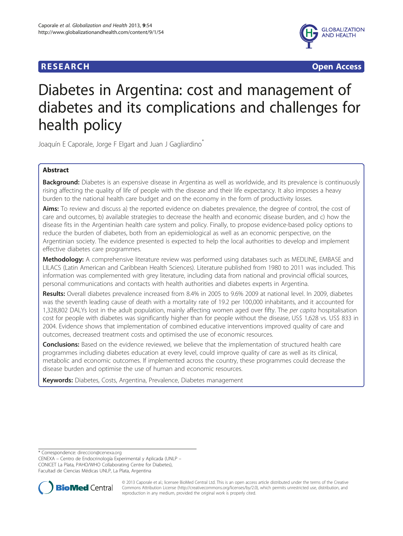# **RESEARCH RESEARCH** *CHECKER CHECKER CHECKER CHECKER CHECKER CHECKER CHECKER CHECKER CHECKER CHECKER CHECKER*



# Diabetes in Argentina: cost and management of diabetes and its complications and challenges for health policy

Joaquín E Caporale, Jorge F Elgart and Juan J Gagliardino<sup>\*</sup>

# Abstract

Background: Diabetes is an expensive disease in Argentina as well as worldwide, and its prevalence is continuously rising affecting the quality of life of people with the disease and their life expectancy. It also imposes a heavy burden to the national health care budget and on the economy in the form of productivity losses.

Aims: To review and discuss a) the reported evidence on diabetes prevalence, the degree of control, the cost of care and outcomes, b) available strategies to decrease the health and economic disease burden, and c) how the disease fits in the Argentinian health care system and policy. Finally, to propose evidence-based policy options to reduce the burden of diabetes, both from an epidemiological as well as an economic perspective, on the Argentinian society. The evidence presented is expected to help the local authorities to develop and implement effective diabetes care programmes.

Methodology: A comprehensive literature review was performed using databases such as MEDLINE, EMBASE and LILACS (Latin American and Caribbean Health Sciences). Literature published from 1980 to 2011 was included. This information was complemented with grey literature, including data from national and provincial official sources, personal communications and contacts with health authorities and diabetes experts in Argentina.

Results: Overall diabetes prevalence increased from 8.4% in 2005 to 9.6% 2009 at national level. In 2009, diabetes was the seventh leading cause of death with a mortality rate of 19.2 per 100,000 inhabitants, and it accounted for 1,328,802 DALYs lost in the adult population, mainly affecting women aged over fifty. The per capita hospitalisation cost for people with diabetes was significantly higher than for people without the disease, US\$ 1,628 vs. US\$ 833 in 2004. Evidence shows that implementation of combined educative interventions improved quality of care and outcomes, decreased treatment costs and optimised the use of economic resources.

**Conclusions:** Based on the evidence reviewed, we believe that the implementation of structured health care programmes including diabetes education at every level, could improve quality of care as well as its clinical, metabolic and economic outcomes. If implemented across the country, these programmes could decrease the disease burden and optimise the use of human and economic resources.

Keywords: Diabetes, Costs, Argentina, Prevalence, Diabetes management

\* Correspondence: [direccion@cenexa.org](mailto:direccion@cenexa.org)

CENEXA – Centro de Endocrinología Experimental y Aplicada (UNLP – CONICET La Plata, PAHO/WHO Collaborating Centre for Diabetes), Facultad de Ciencias Médicas UNLP, La Plata, Argentina



© 2013 Caporale et al.; licensee BioMed Central Ltd. This is an open access article distributed under the terms of the Creative Commons Attribution License [\(http://creativecommons.org/licenses/by/2.0\)](http://creativecommons.org/licenses/by/2.0), which permits unrestricted use, distribution, and reproduction in any medium, provided the original work is properly cited.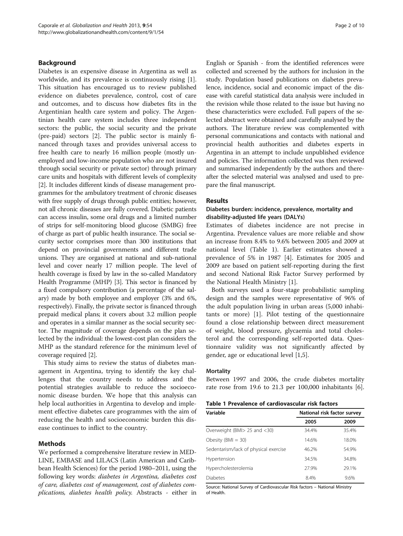# Background

Diabetes is an expensive disease in Argentina as well as worldwide, and its prevalence is continuously rising [\[1](#page-8-0)]. This situation has encouraged us to review published evidence on diabetes prevalence, control, cost of care and outcomes, and to discuss how diabetes fits in the Argentinian health care system and policy. The Argentinian health care system includes three independent sectors: the public, the social security and the private (pre-paid) sectors [[2](#page-8-0)]. The public sector is mainly financed through taxes and provides universal access to free health care to nearly 16 million people (mostly unemployed and low-income population who are not insured through social security or private sector) through primary care units and hospitals with different levels of complexity [[2\]](#page-8-0). It includes different kinds of disease management programmes for the ambulatory treatment of chronic diseases with free supply of drugs through public entities; however, not all chronic diseases are fully covered. Diabetic patients can access insulin, some oral drugs and a limited number of strips for self-monitoring blood glucose (SMBG) free of charge as part of public health insurance. The social security sector comprises more than 300 institutions that depend on provincial governments and different trade unions. They are organised at national and sub-national level and cover nearly 17 million people. The level of health coverage is fixed by law in the so-called Mandatory Health Programme (MHP) [\[3\]](#page-8-0). This sector is financed by a fixed compulsory contribution (a percentage of the salary) made by both employee and employer (3% and 6%, respectively). Finally, the private sector is financed through prepaid medical plans; it covers about 3.2 million people and operates in a similar manner as the social security sector. The magnitude of coverage depends on the plan selected by the individual: the lowest-cost plan considers the MHP as the standard reference for the minimum level of coverage required [[2](#page-8-0)].

This study aims to review the status of diabetes management in Argentina, trying to identify the key challenges that the country needs to address and the potential strategies available to reduce the socioeconomic disease burden. We hope that this analysis can help local authorities in Argentina to develop and implement effective diabetes care programmes with the aim of reducing the health and socioeconomic burden this disease continues to inflict to the country.

## Methods

We performed a comprehensive literature review in MED-LINE, EMBASE and LILACS (Latin American and Caribbean Health Sciences) for the period 1980–2011, using the following key words: diabetes in Argentina, diabetes cost of care, diabetes cost of management, cost of diabetes complications, diabetes health policy. Abstracts - either in English or Spanish - from the identified references were collected and screened by the authors for inclusion in the study. Population based publications on diabetes prevalence, incidence, social and economic impact of the disease with careful statistical data analysis were included in the revision while those related to the issue but having no these characteristics were excluded. Full papers of the selected abstract were obtained and carefully analysed by the authors. The literature review was complemented with personal communications and contacts with national and provincial health authorities and diabetes experts in Argentina in an attempt to include unpublished evidence and policies. The information collected was then reviewed and summarised independently by the authors and thereafter the selected material was analysed and used to prepare the final manuscript.

## Results

# Diabetes burden: incidence, prevalence, mortality and disability-adjusted life years (DALYs)

Estimates of diabetes incidence are not precise in Argentina. Prevalence values are more reliable and show an increase from 8.4% to 9.6% between 2005 and 2009 at national level (Table 1). Earlier estimates showed a prevalence of 5% in 1987 [\[4](#page-8-0)]. Estimates for 2005 and 2009 are based on patient self-reporting during the first and second National Risk Factor Survey performed by the National Health Ministry [[1\]](#page-8-0).

Both surveys used a four-stage probabilistic sampling design and the samples were representative of 96% of the adult population living in urban areas (5,000 inhabitants or more) [\[1\]](#page-8-0). Pilot testing of the questionnaire found a close relationship between direct measurement of weight, blood pressure, glycaemia and total cholesterol and the corresponding self-reported data. Questionnaire validity was not significantly affected by gender, age or educational level [[1](#page-8-0),[5\]](#page-8-0).

#### **Mortality**

Between 1997 and 2006, the crude diabetes mortality rate rose from 19.6 to 21.3 per 100,000 inhabitants [\[6](#page-8-0)].

|  | Table 1 Prevalence of cardiovascular risk factors |
|--|---------------------------------------------------|
|--|---------------------------------------------------|

| Variable                              | National risk factor survey |       |
|---------------------------------------|-----------------------------|-------|
|                                       | 2005                        | 2009  |
| Overweight (BMI> 25 and <30)          | 34.4%                       | 35.4% |
| Obesity ( $BMI = 30$ )                | 14.6%                       | 18.0% |
| Sedentarism/lack of physical exercise | 46.2%                       | 54.9% |
| Hypertension                          | 34.5%                       | 34.8% |
| Hypercholesterolemia                  | 27.9%                       | 29.1% |
| <b>Diabetes</b>                       | 8.4%                        | 9.6%  |

Source: National Survey of Cardiovascular Risk factors – National Ministry of Health.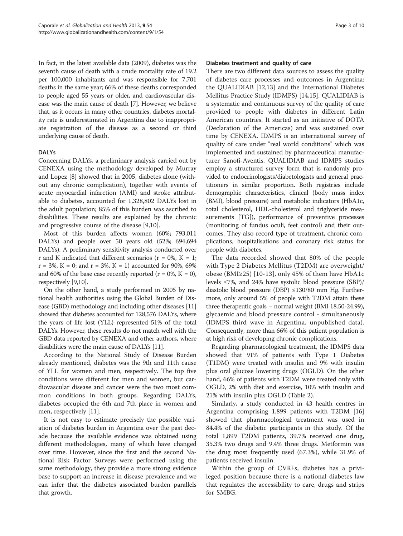In fact, in the latest available data (2009), diabetes was the seventh cause of death with a crude mortality rate of 19.2 per 100,000 inhabitants and was responsible for 7,701 deaths in the same year; 66% of these deaths corresponded to people aged 55 years or older, and cardiovascular disease was the main cause of death [\[7](#page-8-0)]. However, we believe that, as it occurs in many other countries, diabetes mortality rate is underestimated in Argentina due to inappropriate registration of the disease as a second or third underlying cause of death.

# DALYs

Concerning DALYs, a preliminary analysis carried out by CENEXA using the methodology developed by Murray and Lopez [\[8](#page-8-0)] showed that in 2005, diabetes alone (without any chronic complication), together with events of acute myocardial infarction (AMI) and stroke attributable to diabetes, accounted for 1,328,802 DALYs lost in the adult population; 85% of this burden was ascribed to disabilities. These results are explained by the chronic and progressive course of the disease [[9,10\]](#page-8-0).

Most of this burden affects women (60%; 793,011 DALYs) and people over 50 years old (52%; 694,694 DALYs). A preliminary sensitivity analysis conducted over r and K indicated that different scenarios ( $r = 0\%$ ,  $K = 1$ ;  $r = 3\%, K = 0$ ; and  $r = 3\%, K = 1$ ) accounted for 90%, 69% and 60% of the base case recently reported ( $r = 0$ %,  $K = 0$ ), respectively [[9,10](#page-8-0)].

On the other hand, a study performed in 2005 by national health authorities using the Global Burden of Disease (GBD) methodology and including other diseases [[11](#page-8-0)] showed that diabetes accounted for 128,576 DALYs, where the years of life lost (YLL) represented 51% of the total DALYs. However, these results do not match well with the GBD data reported by CENEXA and other authors, where disabilities were the main cause of DALYs [\[11\]](#page-8-0).

According to the National Study of Disease Burden already mentioned, diabetes was the 9th and 11th cause of YLL for women and men, respectively. The top five conditions were different for men and women, but cardiovascular disease and cancer were the two most common conditions in both groups. Regarding DALYs, diabetes occupied the 6th and 7th place in women and men, respectively [\[11](#page-8-0)].

It is not easy to estimate precisely the possible variation of diabetes burden in Argentina over the past decade because the available evidence was obtained using different methodologies, many of which have changed over time. However, since the first and the second National Risk Factor Surveys were performed using the same methodology, they provide a more strong evidence base to support an increase in disease prevalence and we can infer that the diabetes associated burden parallels that growth.

# Diabetes treatment and quality of care

There are two different data sources to assess the quality of diabetes care processes and outcomes in Argentina: the QUALIDIAB [\[12,13\]](#page-8-0) and the International Diabetes Mellitus Practice Study (IDMPS) [[14](#page-8-0),[15](#page-8-0)]. QUALIDIAB is a systematic and continuous survey of the quality of care provided to people with diabetes in different Latin American countries. It started as an initiative of DOTA (Declaration of the Americas) and was sustained over time by CENEXA. IDMPS is an international survey of quality of care under "real world conditions" which was implemented and sustained by pharmaceutical manufacturer Sanofi-Aventis. QUALIDIAB and IDMPS studies employ a structured survey form that is randomly provided to endocrinologists/diabetologists and general practitioners in similar proportion. Both registries include demographic characteristics, clinical (body mass index (BMI), blood pressure) and metabolic indicators (HbA1c, total cholesterol, HDL-cholesterol and triglyceride measurements [TG]), performance of preventive processes (monitoring of fundus oculi, feet control) and their outcomes. They also record type of treatment, chronic complications, hospitalisations and coronary risk status for people with diabetes.

The data recorded showed that 80% of the people with Type 2 Diabetes Mellitus (T2DM) are overweight/ obese (BMI≥25) [\[10-13\]](#page-8-0), only 45% of them have HbA1c levels ≤7%, and 24% have systolic blood pressure (SBP)/ diastolic blood pressure (DBP) ≤130/80 mm Hg. Furthermore, only around 5% of people with T2DM attain these three therapeutic goals – normal weight (BMI 18.50-24.99), glycaemic and blood pressure control - simultaneously (IDMPS third wave in Argentina, unpublished data). Consequently, more than 66% of this patient population is at high risk of developing chronic complications.

Regarding pharmacological treatment, the IDMPS data showed that 91% of patients with Type 1 Diabetes (T1DM) were treated with insulin and 9% with insulin plus oral glucose lowering drugs (OGLD). On the other hand, 66% of patients with T2DM were treated only with OGLD, 2% with diet and exercise, 10% with insulin and 21% with insulin plus OGLD (Table [2](#page-3-0)).

Similarly, a study conducted in 43 health centres in Argentina comprising 1,899 patients with T2DM [[16](#page-8-0)] showed that pharmacological treatment was used in 84.4% of the diabetic participants in this study. Of the total 1,899 T2DM patients, 39.7% received one drug, 35.3% two drugs and 9.4% three drugs. Metformin was the drug most frequently used (67.3%), while 31.9% of patients received insulin.

Within the group of CVRFs, diabetes has a privileged position because there is a national diabetes law that regulates the accessibility to care, drugs and strips for SMBG.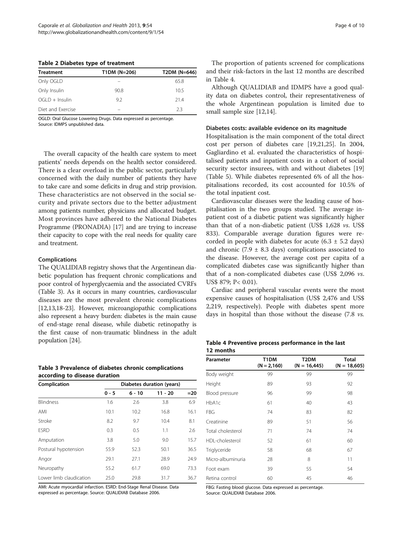<span id="page-3-0"></span>Table 2 Diabetes type of treatment

| <b>Treatment</b>  | T1DM (N=206) | T2DM (N=646) |  |
|-------------------|--------------|--------------|--|
| Only OGLD         |              | 65.8         |  |
| Only Insulin      | 90.8         | 10.5         |  |
| $OGLD + Insulin$  | 92           | 214          |  |
| Diet and Exercise |              | フ3           |  |

OGLD: Oral Glucose Lowering Drugs. Data expressed as percentage. Source: IDMPS unpublished data.

The overall capacity of the health care system to meet patients' needs depends on the health sector considered. There is a clear overload in the public sector, particularly concerned with the daily number of patients they have to take care and some deficits in drug and strip provision. These characteristics are not observed in the social security and private sectors due to the better adjustment among patients number, physicians and allocated budget. Most provinces have adhered to the National Diabetes Programme (PRONADIA) [\[17\]](#page-8-0) and are trying to increase their capacity to cope with the real needs for quality care and treatment.

#### Complications

The QUALIDIAB registry shows that the Argentinean diabetic population has frequent chronic complications and poor control of hyperglycaemia and the associated CVRFs (Table 3). As it occurs in many countries, cardiovascular diseases are the most prevalent chronic complications [[12,13,18-23\]](#page-8-0). However, microangiopathic complications also represent a heavy burden: diabetes is the main cause of end-stage renal disease, while diabetic retinopathy is the first cause of non-traumatic blindness in the adult population [[24](#page-8-0)].

|                               |  | Table 3 Prevalence of diabetes chronic complications |
|-------------------------------|--|------------------------------------------------------|
| according to disease duration |  |                                                      |

| Complication            | Diabetes duration (years) |          |           |       |
|-------------------------|---------------------------|----------|-----------|-------|
|                         | $0 - 5$                   | $6 - 10$ | $11 - 20$ | $=20$ |
| <b>Blindness</b>        | 1.6                       | 2.6      | 3.8       | 6.9   |
| AMI                     | 10.1                      | 10.2     | 16.8      | 16.1  |
| Stroke                  | 8.2                       | 9.7      | 10.4      | 8.1   |
| <b>ESRD</b>             | 0.3                       | 0.5      | 1.1       | 2.6   |
| Amputation              | 3.8                       | 5.0      | 9.0       | 15.7  |
| Postural hypotension    | 55.9                      | 52.3     | 50.1      | 36.5  |
| Angor                   | 29.1                      | 27.1     | 28.9      | 24.9  |
| Neuropathy              | 55.2                      | 61.7     | 69.0      | 73.3  |
| Lower limb claudication | 25.0                      | 29.8     | 31.7      | 36.7  |

AMI: Acute myocardial infarction. ESRD: End-Stage Renal Disease. Data expressed as percentage. Source: QUALIDIAB Database 2006.

The proportion of patients screened for complications and their risk-factors in the last 12 months are described in Table 4.

Although QUALIDIAB and IDMPS have a good quality data on diabetes control, their representativeness of the whole Argentinean population is limited due to small sample size [[12,14\]](#page-8-0).

#### Diabetes costs: available evidence on its magnitude

Hospitalisation is the main component of the total direct cost per person of diabetes care [[19](#page-8-0),[21,25](#page-8-0)]. In 2004, Gagliardino et al. evaluated the characteristics of hospitalised patients and inpatient costs in a cohort of social security sector insurees, with and without diabetes [[19](#page-8-0)] (Table [5\)](#page-4-0). While diabetes represented 6% of all the hospitalisations recorded, its cost accounted for 10.5% of the total inpatient cost.

Cardiovascular diseases were the leading cause of hospitalisation in the two groups studied. The average inpatient cost of a diabetic patient was significantly higher than that of a non-diabetic patient (US\$  $1,628$  vs. US\$ 833). Comparable average duration figures were recorded in people with diabetes for acute  $(6.3 \pm 5.2 \text{ days})$ and chronic (7.9  $\pm$  8.3 days) complications associated to the disease. However, the average cost per capita of a complicated diabetes case was significantly higher than that of a non-complicated diabetes case (US\$ 2,096 vs. US\$ 879; P< 0.01).

Cardiac and peripheral vascular events were the most expensive causes of hospitalisation (US\$ 2,476 and US\$ 2,219, respectively). People with diabetes spent more days in hospital than those without the disease (7.8 vs.

Table 4 Preventive process performance in the last 12 months

| Parameter         | T1DM<br>$(N = 2,160)$ | T <sub>2</sub> DM<br>$(N = 16,445)$ | <b>Total</b><br>$(N = 18,605)$ |
|-------------------|-----------------------|-------------------------------------|--------------------------------|
| Body weight       | 99                    | 99                                  | 99                             |
| Height            | 89                    | 93                                  | 92                             |
| Blood pressure    | 96                    | 99                                  | 98                             |
| HbA1c             | 61                    | 40                                  | 43                             |
| <b>FBG</b>        | 74                    | 83                                  | 82                             |
| Creatinine        | 89                    | 51                                  | 56                             |
| Total cholesterol | 71                    | 74                                  | 74                             |
| HDL-cholesterol   | 52                    | 61                                  | 60                             |
| Triglyceride      | 58                    | 68                                  | 67                             |
| Micro-albuminuria | 28                    | 8                                   | 11                             |
| Foot exam         | 39                    | 55                                  | 54                             |
| Retina control    | 60                    | 45                                  | 46                             |

FBG: Fasting blood glucose. Data expressed as percentage. Source: QUALIDIAB Database 2006.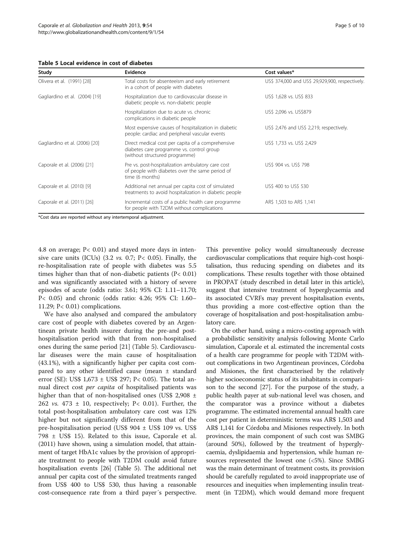<span id="page-4-0"></span>Table 5 Local evidence in cost of diabetes

| Study                          | Evidence                                                                                                                         | Cost values*                                    |
|--------------------------------|----------------------------------------------------------------------------------------------------------------------------------|-------------------------------------------------|
| Olivera et al. (1991) [28]     | Total costs for absenteeism and early retirement<br>in a cohort of people with diabetes                                          | US\$ 374,000 and US\$ 29,929,900, respectively. |
| Gagliardino et al. (2004) [19] | Hospitalization due to cardiovascular disease in<br>diabetic people vs. non-diabetic people                                      | US\$ 1,628 vs. US\$ 833                         |
|                                | Hospitalization due to acute vs. chronic<br>complications in diabetic people                                                     | US\$ 2,096 vs. US\$879                          |
|                                | Most expensive causes of hospitalization in diabetic<br>people: cardiac and peripheral vascular events                           | US\$ 2,476 and US\$ 2,219, respectively.        |
| Gagliardino et al. (2006) [20] | Direct medical cost per capita of a comprehensive<br>diabetes care programme vs. control group<br>(without structured programme) | US\$ 1.733 vs. US\$ 2.429                       |
| Caporale et al. (2006) [21]    | Pre vs. post-hospitalization ambulatory care cost<br>of people with diabetes over the same period of<br>time (6 months)          | US\$ 904 vs. US\$ 798                           |
| Caporale et al. (2010) [9]     | Additional net annual per capita cost of simulated<br>treatments to avoid hospitalization in diabetic people                     | US\$ 400 to US\$ 530                            |
| Caporale et al. (2011) [26]    | Incremental costs of a public health care programme<br>for people with T2DM without complications                                | AR\$ 1,503 to AR\$ 1,141                        |

\*Cost data are reported without any intertemporal adjustment.

4.8 on average; P< 0.01) and stayed more days in intensive care units (ICUs) (3.2 vs. 0.7; P< 0.05). Finally, the re-hospitalisation rate of people with diabetes was 5.5 times higher than that of non-diabetic patients (P< 0.01) and was significantly associated with a history of severe episodes of acute (odds ratio: 3.61; 95% CI: 1.11–11.70; P< 0.05) and chronic (odds ratio: 4.26; 95% CI: 1.60– 11.29; P< 0.01) complications.

We have also analysed and compared the ambulatory care cost of people with diabetes covered by an Argentinean private health insurer during the pre-and posthospitalisation period with that from non-hospitalised ones during the same period [[21](#page-8-0)] (Table 5). Cardiovascular diseases were the main cause of hospitalisation (43.1%), with a significantly higher per capita cost compared to any other identified cause (mean ± standard error (SE): US\$  $1,673 \pm \text{US}$ \$ 297; P< 0.05). The total annual direct cost per capita of hospitalised patients was higher than that of non-hospitalised ones (US\$ 2,908  $\pm$ 262 *vs.* 473  $\pm$  10, respectively; P< 0.01). Further, the total post-hospitalisation ambulatory care cost was 12% higher but not significantly different from that of the pre-hospitalisation period (US\$ 904 ± US\$ 109 vs. US\$ 798 ± US\$ 15). Related to this issue, Caporale et al. (2011) have shown, using a simulation model, that attainment of target HbA1c values by the provision of appropriate treatment to people with T2DM could avoid future hospitalisation events [[26](#page-8-0)] (Table 5). The additional net annual per capita cost of the simulated treatments ranged from US\$ 400 to US\$ 530, thus having a reasonable cost-consequence rate from a third payer´s perspective.

This preventive policy would simultaneously decrease cardiovascular complications that require high-cost hospitalisation, thus reducing spending on diabetes and its complications. These results together with those obtained in PROPAT (study described in detail later in this article), suggest that intensive treatment of hyperglycaemia and its associated CVRFs may prevent hospitalisation events, thus providing a more cost-effective option than the coverage of hospitalisation and post-hospitalisation ambulatory care.

On the other hand, using a micro-costing approach with a probabilistic sensitivity analysis following Monte Carlo simulation, Caporale et al. estimated the incremental costs of a health care programme for people with T2DM without complications in two Argentinean provinces, Córdoba and Misiones, the first characterised by the relatively higher socioeconomic status of its inhabitants in comparison to the second [\[27](#page-8-0)]. For the purpose of the study, a public health payer at sub-national level was chosen, and the comparator was a province without a diabetes programme. The estimated incremental annual health care cost per patient in deterministic terms was AR\$ 1,503 and AR\$ 1,141 for Córdoba and Misiones respectively. In both provinces, the main component of such cost was SMBG (around 50%), followed by the treatment of hyperglycaemia, dyslipidaemia and hypertension, while human resources represented the lowest one (<5%). Since SMBG was the main determinant of treatment costs, its provision should be carefully regulated to avoid inappropriate use of resources and inequities when implementing insulin treatment (in T2DM), which would demand more frequent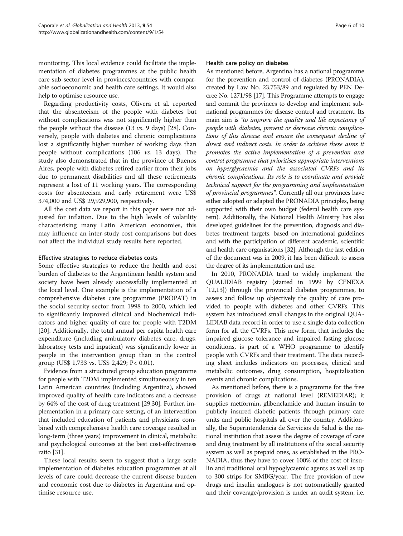monitoring. This local evidence could facilitate the implementation of diabetes programmes at the public health care sub-sector level in provinces/countries with comparable socioeconomic and health care settings. It would also help to optimise resource use.

Regarding productivity costs, Olivera et al. reported that the absenteeism of the people with diabetes but without complications was not significantly higher than the people without the disease  $(13 \text{ vs. } 9 \text{ days})$   $[28]$  $[28]$ . Conversely, people with diabetes and chronic complications lost a significantly higher number of working days than people without complications (106 vs. 13 days). The study also demonstrated that in the province of Buenos Aires, people with diabetes retired earlier from their jobs due to permanent disabilities and all these retirements represent a lost of 11 working years. The corresponding costs for absenteeism and early retirement were US\$ 374,000 and US\$ 29,929,900, respectively.

All the cost data we report in this paper were not adjusted for inflation. Due to the high levels of volatility characterising many Latin American economies, this may influence an inter-study cost comparisons but does not affect the individual study results here reported.

# Effective strategies to reduce diabetes costs

Some effective strategies to reduce the health and cost burden of diabetes to the Argentinean health system and society have been already successfully implemented at the local level. One example is the implementation of a comprehensive diabetes care programme (PROPAT) in the social security sector from 1998 to 2000, which led to significantly improved clinical and biochemical indicators and higher quality of care for people with T2DM [[20\]](#page-8-0). Additionally, the total annual per capita health care expenditure (including ambulatory diabetes care, drugs, laboratory tests and inpatient) was significantly lower in people in the intervention group than in the control group (US\$ 1,733 vs. US\$ 2,429; P< 0.01).

Evidence from a structured group education programme for people with T2DM implemented simultaneously in ten Latin American countries (including Argentina), showed improved quality of health care indicators and a decrease by 64% of the cost of drug treatment [\[29,30\]](#page-8-0). Further, implementation in a primary care setting, of an intervention that included education of patients and physicians combined with comprehensive health care coverage resulted in long-term (three years) improvement in clinical, metabolic and psychological outcomes at the best cost-effectiveness ratio [[31](#page-8-0)].

These local results seem to suggest that a large scale implementation of diabetes education programmes at all levels of care could decrease the current disease burden and economic cost due to diabetes in Argentina and optimise resource use.

#### Health care policy on diabetes

As mentioned before, Argentina has a national programme for the prevention and control of diabetes (PRONADIA), created by Law No. 23.753/89 and regulated by PEN Decree No. 1271/98 [\[17](#page-8-0)]. This Programme attempts to engage and commit the provinces to develop and implement subnational programmes for disease control and treatment. Its main aim is "to improve the quality and life expectancy of people with diabetes, prevent or decrease chronic complications of this disease and ensure the consequent decline of direct and indirect costs. In order to achieve these aims it promotes the active implementation of a prevention and control programme that prioritises appropriate interventions on hyperglycaemia and the associated CVRFs and its chronic complications. Its role is to coordinate and provide technical support for the programming and implementation of provincial programmes". Currently all our provinces have either adopted or adapted the PRONADIA principles, being supported with their own budget (federal health care system). Additionally, the National Health Ministry has also developed guidelines for the prevention, diagnosis and diabetes treatment targets, based on international guidelines and with the participation of different academic, scientific and health care organisations [\[32\]](#page-8-0). Although the last edition of the document was in 2009, it has been difficult to assess the degree of its implementation and use.

In 2010, PRONADIA tried to widely implement the QUALIDIAB registry (started in 1999 by CENEXA [[12,13](#page-8-0)]) through the provincial diabetes programmes, to assess and follow up objectively the quality of care provided to people with diabetes and other CVRFs. This system has introduced small changes in the original QUA-LIDIAB data record in order to use a single data collection form for all the CVRFs. This new form, that includes the impaired glucose tolerance and impaired fasting glucose conditions, is part of a WHO programme to identify people with CVRFs and their treatment. The data recording sheet includes indicators on processes, clinical and metabolic outcomes, drug consumption, hospitalisation events and chronic complications.

As mentioned before, there is a programme for the free provision of drugs at national level (REMEDIAR); it supplies metformin, glibenclamide and human insulin to publicly insured diabetic patients through primary care units and public hospitals all over the country. Additionally, the Superintendencia de Servicios de Salud is the national institution that assess the degree of coverage of care and drug treatment by all institutions of the social security system as well as prepaid ones, as established in the PRO-NADIA, thus they have to cover 100% of the cost of insulin and traditional oral hypoglycaemic agents as well as up to 300 strips for SMBG/year. The free provision of new drugs and insulin analogues is not automatically granted and their coverage/provision is under an audit system, i.e.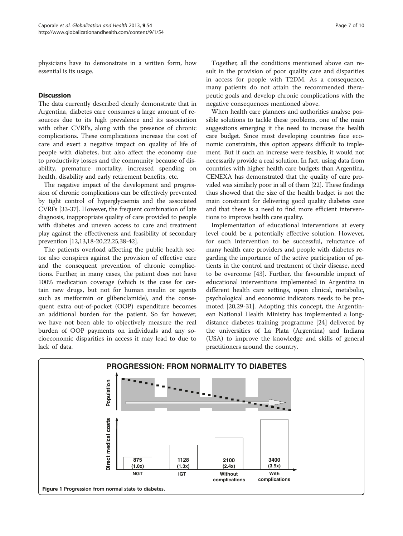<span id="page-6-0"></span>physicians have to demonstrate in a written form, how essential is its usage.

# Discussion

The data currently described clearly demonstrate that in Argentina, diabetes care consumes a large amount of resources due to its high prevalence and its association with other CVRFs, along with the presence of chronic complications. These complications increase the cost of care and exert a negative impact on quality of life of people with diabetes, but also affect the economy due to productivity losses and the community because of disability, premature mortality, increased spending on health, disability and early retirement benefits, etc.

The negative impact of the development and progression of chronic complications can be effectively prevented by tight control of hyperglycaemia and the associated CVRFs [[33](#page-8-0)-[37](#page-8-0)]. However, the frequent combination of late diagnosis, inappropriate quality of care provided to people with diabetes and uneven access to care and treatment play against the effectiveness and feasibility of secondary prevention [\[12,13,18](#page-8-0)-[20,22,25,](#page-8-0)[38-42\]](#page-9-0).

The patients overload affecting the public health sector also conspires against the provision of effective care and the consequent prevention of chronic compliactions. Further, in many cases, the patient does not have 100% medication coverage (which is the case for certain new drugs, but not for human insulin or agents such as metformin or glibenclamide), and the consequent extra out-of-pocket (OOP) expenditure becomes an additional burden for the patient. So far however, we have not been able to objectively measure the real burden of OOP payments on individuals and any socioeconomic disparities in access it may lead to due to lack of data.

Together, all the conditions mentioned above can result in the provision of poor quality care and disparities in access for people with T2DM. As a consequence, many patients do not attain the recommended therapeutic goals and develop chronic complications with the negative consequences mentioned above.

When health care planners and authorities analyse possible solutions to tackle these problems, one of the main suggestions emerging it the need to increase the health care budget. Since most developing countries face economic constraints, this option appears difficult to implement. But if such an increase were feasible, it would not necessarily provide a real solution. In fact, using data from countries with higher health care budgets than Argentina, CENEXA has demonstrated that the quality of care provided was similarly poor in all of them [\[22\]](#page-8-0). These findings thus showed that the size of the health budget is not the main constraint for delivering good quality diabetes care and that there is a need to find more efficient interventions to improve health care quality.

Implementation of educational interventions at every level could be a potentially effective solution. However, for such intervention to be successful, reluctance of many health care providers and people with diabetes regarding the importance of the active participation of patients in the control and treatment of their disease, need to be overcome [[43](#page-9-0)]. Further, the favourable impact of educational interventions implemented in Argentina in different health care settings, upon clinical, metabolic, psychological and economic indicators needs to be promoted [[20,29-31](#page-8-0)]. Adopting this concept, the Argentinean National Health Ministry has implemented a longdistance diabetes training programme [[24\]](#page-8-0) delivered by the universities of La Plata (Argentina) and Indiana (USA) to improve the knowledge and skills of general practitioners around the country.

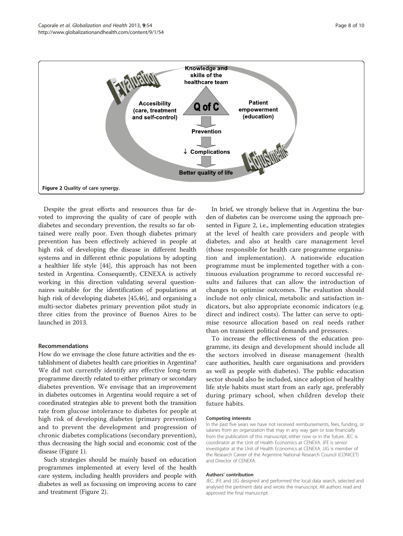

Despite the great efforts and resources thus far devoted to improving the quality of care of people with diabetes and secondary prevention, the results so far obtained were really poor. Even though diabetes primary prevention has been effectively achieved in people at high risk of developing the disease in different health systems and in different ethnic populations by adopting a healthier life style [[44\]](#page-9-0), this approach has not been tested in Argentina. Consequently, CENEXA is actively working in this direction validating several questionnaires suitable for the identification of populations at high risk of developing diabetes [[45,46\]](#page-9-0), and organising a multi-sector diabetes primary prevention pilot study in three cities from the province of Buenos Aires to be launched in 2013.

## Recommendations

How do we envisage the close future activities and the establishment of diabetes health care priorities in Argentina? We did not currently identify any effective long-term programme directly related to either primary or secondary diabetes prevention. We envisage that an improvement in diabetes outcomes in Argentina would require a set of coordinated strategies able to prevent both the transition rate from glucose intolerance to diabetes for people at high risk of developing diabetes (primary prevention) and to prevent the development and progression of chronic diabetes complications (secondary prevention), thus decreasing the high social and economic cost of the disease (Figure [1](#page-6-0)).

Such strategies should be mainly based on education programmes implemented at every level of the health care system, including health providers and people with diabetes as well as focussing on improving access to care and treatment (Figure 2).

In brief, we strongly believe that in Argentina the burden of diabetes can be overcome using the approach presented in Figure 2, i.e., implementing education strategies at the level of health care providers and people with diabetes, and also at health care management level (those responsible for health care programme organisation and implementation). A nationwide education programme must be implemented together with a continuous evaluation programme to record successful results and failures that can allow the introduction of changes to optimise outcomes. The evaluation should include not only clinical, metabolic and satisfaction indicators, but also appropriate economic indicators (e.g. direct and indirect costs). The latter can serve to optimise resource allocation based on real needs rather than on transient political demands and pressures.

To increase the effectiveness of the education programme, its design and development should include all the sectors involved in disease management (health care authorities, health care organisations and providers as well as people with diabetes). The public education sector should also be included, since adoption of healthy life style habits must start from an early age, preferably during primary school, when children develop their future habits.

#### Competing interests

In the past five years we have not received reimbursements, fees, funding, or salaries from an organization that may in any way gain or lose financially from the publication of this manuscript, either now or in the future. JEC is coordinator at the Unit of Health Economics at CENEXA. JFE is senior investigator at the Unit of Health Economics at CENEXA. JJG is member of the Research Career of the Argentine National Research Council (CONICET) and Director of CENEXA.

#### Authors' contribution

JEC, JFE and JJG designed and performed the local data search, selected and analysed the pertinent data and wrote the manuscript. All authors read and approved the final manuscript.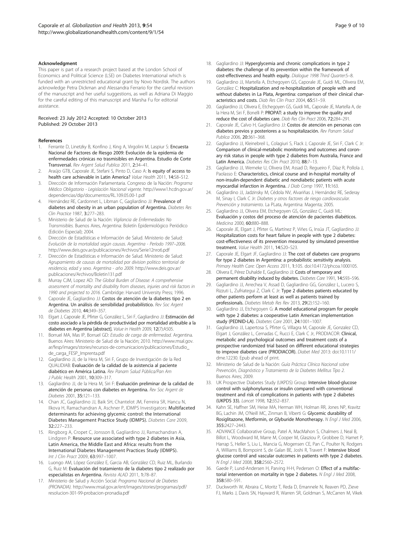#### <span id="page-8-0"></span>Acknowledgment

This paper is part of a research project based at the London School of Economics and Political Science (LSE) on Diabetes International which is funded with an unrestricted educational grant by Novo Nordisk. The authors acknowledge Petra Dickman and Alessandra Ferrario for the careful revision of the manuscript and her useful suggestions, as well as Adriana Di Maggio for the careful editing of this manuscript and Marsha Fu for editorial assistance.

#### Received: 23 July 2012 Accepted: 10 October 2013 Published: 29 October 2013

#### References

- 1. Ferrante D, Linetzky B, Konfino J, King A, Virgolini M, Laspiur S: Encuesta Nacional de Factores de Riesgo 2009: Evolución de la epidemia de enfermedades crónicas no trasmisibles en Argentina. Estudio de Corte Transversal. Rev Argent Salud Publica 2011, 2:34–41.
- 2. Araújo GTB, Caporale JE, Stefani S, Pinto D, Caso A: Is equity of access to health care achievable in Latin America? Value Health 2011, 14:S8-S12.
- 3. Dirección de Información Parlamentaria. Congreso de la Nación: Programa Médico Obligatorio - Legislación Nacional vigente. [http://www1.hcdn.gov.ar/](http://www1.hcdn.gov.ar/dependencias/dip/documentos/RL.109.05.00-1.pdf) [dependencias/dip/documentos/RL.109.05.00-1.pdf](http://www1.hcdn.gov.ar/dependencias/dip/documentos/RL.109.05.00-1.pdf)
- 4. Hernández RE, Cardonnet L, Libman C, Gagliardino JJ: Prevalence of diabetes and obesity in an urban population of Argentina. Diabetes Res Clin Practice 1987, 3:277–283.
- Ministerio de Salud de la Nación: Vigilancia de Enfermedades No Transmisibles. Buenos Aires, Argentina: Boletín Epidemiológico Periódico (Edición Especial); 2004.
- 6. Dirección de Estadísticas e Información de Salud. Ministerio de Salud: Evolución de la mortalidad según causas. Argentina - Período 1997–2006. <http://www.deis.gov.ar/publicaciones/Archivos/Serie12nro6.pdf>
- 7. Dirección de Estadísticas e Información de Salud. Ministerio de Salud: Agrupamiento de causas de mortalidad por division politico territorial de residencia, edad y sexo. Argentina - año 2009. [http://www.deis.gov.ar/](http://www.deis.gov.ar/publicaciones/Archivos/Boletin131.pdf) [publicaciones/Archivos/Boletin131.pdf](http://www.deis.gov.ar/publicaciones/Archivos/Boletin131.pdf)
- 8. Murray CJM, Lopez AD: The Global Burden of Disease: A comprehensive assessment of mortality and disability from diseases, injuries and risk factors in 1990 and projected to 2016. Cambridge: Harvard University Press; 1996.
- 9. Caporale JE, Gagliardino JJ: Costos de atención de la diabetes tipo 2 en Argentina. Un análisis de sensibilidad probabilístico. Rev Soc Argent de Diabetes 2010, 44:349–357.
- 10. Elgart J, Caporale JE, Pfirter G, González L, Siri F, Gagliardino JJ: Estimación del costo asociado a la pérdida de productividad por mortalidad atribuible a la diabetes en Argentina [abstract]. Value in Health 2009, 12(7):A505.
- 11. Borruel MA, Mas IP, Borruel GD: Estudio de carga de enfermedad. Argentina. Buenos Aires: Ministerio de Salud de la Nación; 2010. [http://www.msal.gov.](http://www.msal.gov.ar/fesp/images/stories/recursos-de-comunicacion/publicaciones/Estudio_de_carga_FESP_Imprenta.pdf) [ar/fesp/images/stories/recursos-de-comunicacion/publicaciones/Estudio\\_](http://www.msal.gov.ar/fesp/images/stories/recursos-de-comunicacion/publicaciones/Estudio_de_carga_FESP_Imprenta.pdf) [de\\_carga\\_FESP\\_Imprenta.pdf](http://www.msal.gov.ar/fesp/images/stories/recursos-de-comunicacion/publicaciones/Estudio_de_carga_FESP_Imprenta.pdf)
- 12. Gagliardino JJ, de la Hera M, Siri F, Grupo de Investigación de la Red QUALIDIAB: Evaluación de la calidad de la asistencia al paciente diabético en América Latina. Rev Panam Salud Pública/Pan Am J Public Health 2001, 10:309–317.
- 13. Gagliardino JJ, de la Hera M, Siri F: Evaluación preliminar de la calidad de atención de personas con diabetes en Argentina. Rev Soc Argent de Diabetes 2001, 35:121–133.
- 14. Chan JC, Gagliardino JJ, Baik SH, Chantelot JM, Ferreira SR, Hancu N, Ilkova H, Ramachandran A, Aschner P, IDMPS Investigators: Multifaceted determinants for achieving glycemic control: the International Diabetes Management Practice Study (IDMPS). Diabetes Care 2009, 32:227–233.
- 15. Ringborg A, Cropet C, Jonsson B, Gagliardino JJ, Ramachandran A, Lindgren P: Resource use associated with type 2 diabetes in Asia, Latin America, the Middle East and Africa: results from the International Diabetes Management Practices Study (IDMPS). Int J Clin Pract 2009, 63:997–1007.
- 16. Luongo AM, López González E, Garcia AB, González CD, Ruiz ML, Burlando G, Ruiz M: Evaluación del tratamiento de la diabetes tipo 2 realizado por especialistas en Argentina. Revista ALAD 2011, 1:78–87.
- 17. Ministerio de Salud y Acción Social: Programa Nacional de Diabetes (PRONADIA). [http://www.msal.gov.ar/ent/images/stories/programas/pdf/](http://www.msal.gov.ar/ent/images/stories/programas/pdf/resolucion-301-99-probacion-pronadia.pdf) [resolucion-301-99-probacion-pronadia.pdf](http://www.msal.gov.ar/ent/images/stories/programas/pdf/resolucion-301-99-probacion-pronadia.pdf)
- 18. Gagliardino JJ: Hyperglycemia and chronic complications in type 2 diabetes: the challenge of its prevention within the framework of cost-effectiveness and health equity. Dialogue 1998 Third Quarter:5–8.
- 19. Gagliardino JJ, Martella A, Etchegoyen GS, Caporale JE, Guidi ML, Olivera EM, González C: Hospitalization and re-hospitalization of people with and without diabetes in La Plata, Argentina: comparison of their clinical characteristics and costs. Diab Res Clin Pract 2004, 65:51–59.
- 20. Gagliardino JJ, Olivera E, Etchegoyen GS, Guidi ML, Caporale JE, Martella A, de la Hera M, Siri F, Bonelli P: PROPAT: a study to improve the quality and reduce the cost of diabetes care. Diab Res Clin Pract 2006, 72:284–291.
- 21. Caporale JE, Calvo H, Gagliardino JJ: Costos de atención en personas con diabetes previos y posteriores a su hospitalización. Rev Panam Salud Publica 2006, 20:361–368.
- 22. Gagliardino JJ, Kleinebreil L, Colagiuri S, Flack J, Caporale JE, Siri F, Clark C Jr: Comparison of clinical-metabolic monitoring and outcomes and coronary risk status in people with type 2 diabetes from Australia, France and Latin America. Diabetes Res Clin Pract 2010, 88:7-13.
- 23. Gagliardino JJ, Werneke U, Olivera EM, Assad D, Regueiro F, Díaz R, Pollola J, Paolasso E: Characteristics, clinical course and in-hospital mortality of non-insulin-dependent diabetic and nondiabetic patients with acute myocardial infarction in Argentina. J Diab Comp 1997, 11:163.
- 24. Gagliardino JJ, Jadzinsky M, Cédola NV, Alvariñas J, Hernández RE, Sederay M, Sinay I, Clark C Jr: Diabetes y otros factores de riesgo cardiovascular. Prevención y tratamiento. La PLata, Argentina: Magenta; 2005.
- 25. Gagliardino JJ, Olivera EM, Etchegoyen GS, González C, Guidi ML: Evaluación y costos del proceso de atención de pacientes diabéticos. Medicina 2000, 60:880–888.
- 26. Caporale JE, Elgart J, Pfirter G, Martínez P, Viñes G, Insúa JT, Gagliardino JJ: Hospitalization costs for heart failure in people with type 2 diabetes: cost-effectiveness of its prevention measured by simulated preventive treatment. Value Health 2011, 14:S20–S23.
- 27. Caporale JE, Elgart JF, Gagliardino JJ: The cost of diabetes care programs for type 2 diabetes in Argentina: a probabilistic sensitivity analysis. Primary Health Care: Open Access 2011, 1:105. doi:10.4172/phcoa.1000105.
- 28. Olivera E, Pérez Duhalde E, Gagliardino JJ: Costs of temporary and permanent disability induced by diabetes. Diabetes Care 1991, 14:593–596.
- 29. Gagliardino JJ, Arrechea V, Assad D, Gagliardino GG, González L, Lucero S, Rizzuti L, Zufriategui Z, Clark C Jr: Type 2 diabetes patients educated by other patients perform at least as well as patients trained by professionals. Diabetes Metab Res Rev 2013, 29(2):152–160.
- Gagliardino JJ, Etchegoyen G: A model educational program for people with type 2 diabetes: a cooperative Latin American implementation study (PEDNID-LA). Diabetes Care 2001, 24:1001–1007.
- 31. Gagliardino JJ, Lapertosa S, Pfirter G, Villagra M, Caporale JE, Gonzalez CD, Elgart J, González L, Cernadas C, Rucci E, Clark C Jr, PRODIACOR: Clinical, metabolic and psychological outcomes and treatment costs of a prospective randomized trial based on different educational strategies to improve diabetes care (PRODIACOR). Diabet Med 2013: doi:10.1111/ dme.12230. Epub ahead of print.
- 32. Ministerio de Salud de la Nación: Guía Práctica Clínica Nacional sobre Prevención, Diagnóstico y Tratamiento de la Diabetes Mellitus Tipo 2. Buenos Aires; 2009.
- 33. UK Prospective Diabetes Study (UKPDS) Group: Intensive blood-glucose control with sulphonylureas or insulin compared with conventional treatment and risk of complications in patients with type 2 diabetes (UKPDS 33). Lancet 1998, 12:352–837.
- Kahn SE, Haffner SM, Heise MA, Herman WH, Holman RR, Jones NP, Kravitz BG, Lachin JM, O'Neill MC, Zinman B, Viberti G: Glycemic durability of Rosiglitazone, Metformin, or Glyburide Monotherapy. N Engl J Med 2006, 355:2427–2443.
- 35. ADVANCE Collaborative Group, Patel A, MacMahon S, Chalmers J, Neal B, Billot L, Woodward M, Marre M, Cooper M, Glasziou P, Grobbee D, Hamet P, Harrap S, Heller S, Liu L, Mancia G, Mogensen CE, Pan C, Poulter N, Rodgers A, Williams B, Bompoint S, de Galan BE, Joshi R, Travert F: Intensive blood glucose control and vascular outcomes in patients with type 2 diabetes. N Engl J Med 2008, 358:2560–2572.
- 36. Gaede P, Lund-Andersen H, Parving H-H, Pedersen O: Effect of a multifactorial intervention on mortality in type 2 diabetes. N Engl J Med 2008, 358:580–591.
- 37. Duckworth W, Abraira C, Moritz T, Reda D, Emannele N, Reaven PD, Zieve FJ, Marks J, Davis SN, Hayward R, Warren SR, Goldman S, McCarren M, Vikek